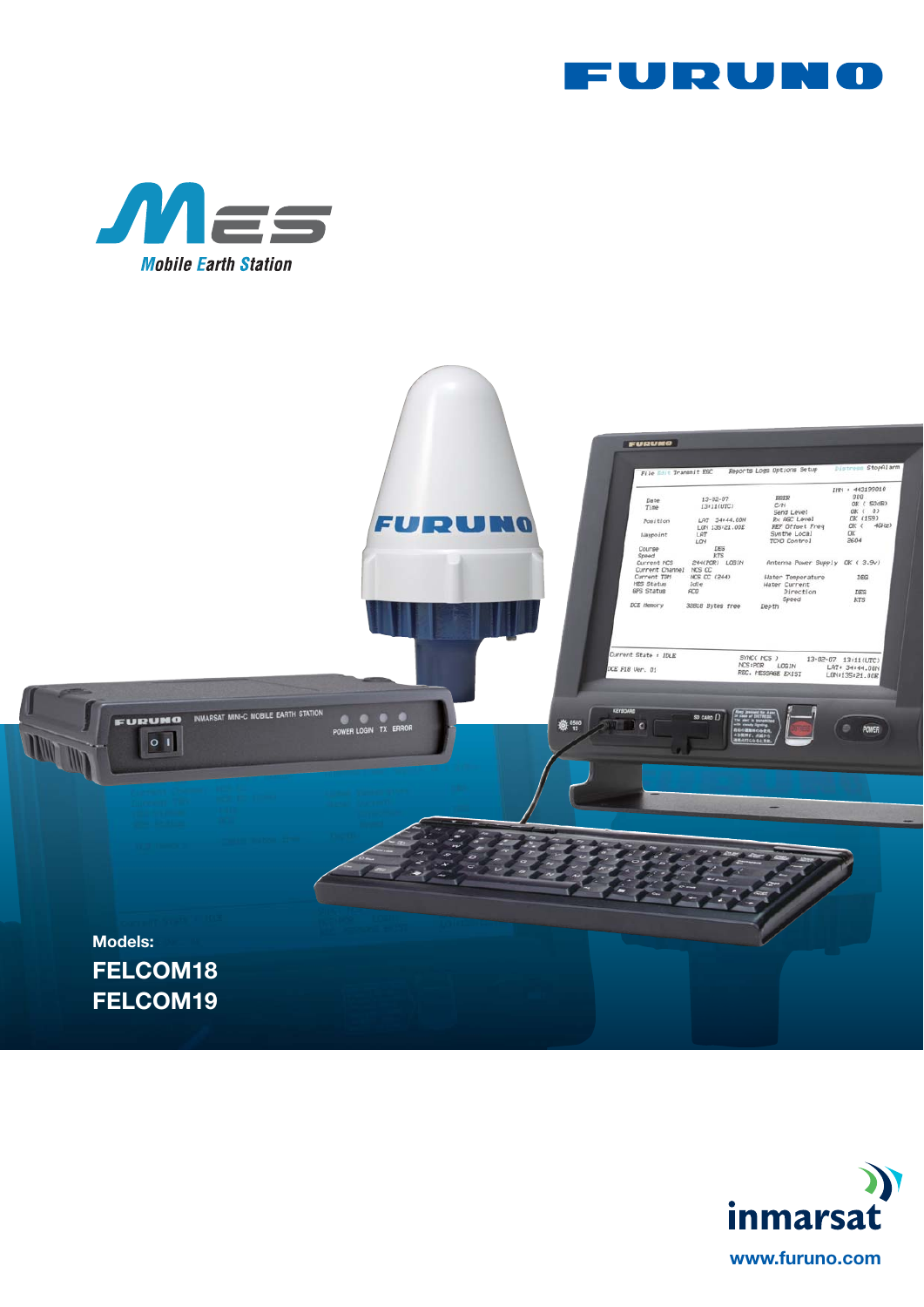





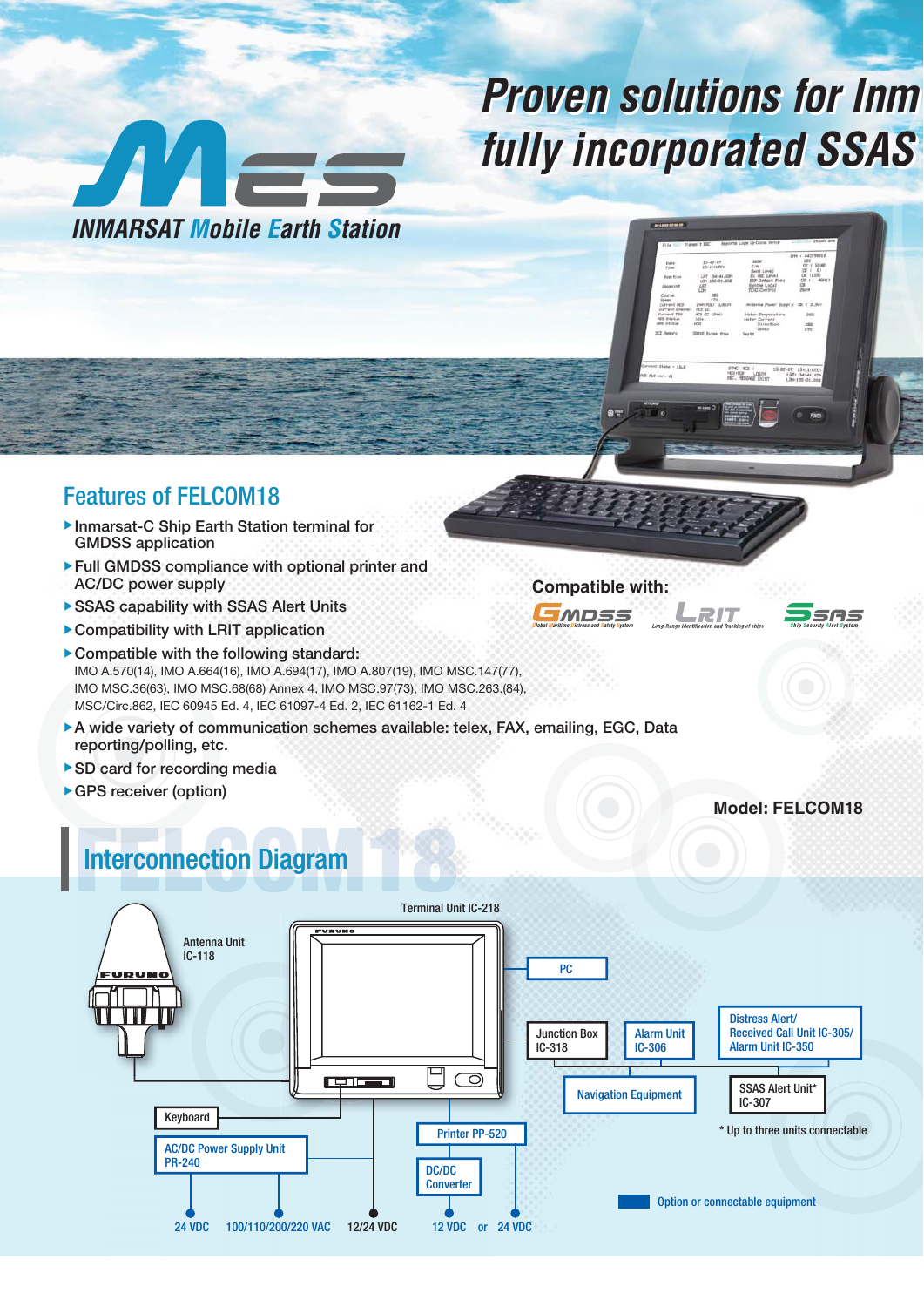# **Proven solutions for Inm fully incorporated SSAS**

**Compatible with:**

EMDSS

**Global Maritime Distress and Safety System Ship Security Alert System**

**RIT** 

**Model: FELCOM18**

SAS



## Features of FELCOM18

- ▶ Inmarsat-C Ship Earth Station terminal for GMDSS application
- ▶ Full GMDSS compliance with optional printer and AC/DC power supply
- ▶ SSAS capability with SSAS Alert Units
- $\triangleright$  Compatibility with LRIT application
- $\blacktriangleright$  Compatible with the following standard: IMO A.570(14), IMO A.664(16), IMO A.694(17), IMO A.807(19), IMO MSC.147(77), IMO MSC.36(63), IMO MSC.68(68) Annex 4, IMO MSC.97(73), IMO MSC.263.(84), MSC/Circ.862, IEC 60945 Ed. 4, IEC 61097-4 Ed. 2, IEC 61162-1 Ed. 4
- ▶ A wide variety of communication schemes available: telex, FAX, emailing, EGC, Data reporting/polling, etc.
- ▶ SD card for recording media
- ▶ GPS receiver (option)

## **Interconnection Diagram**

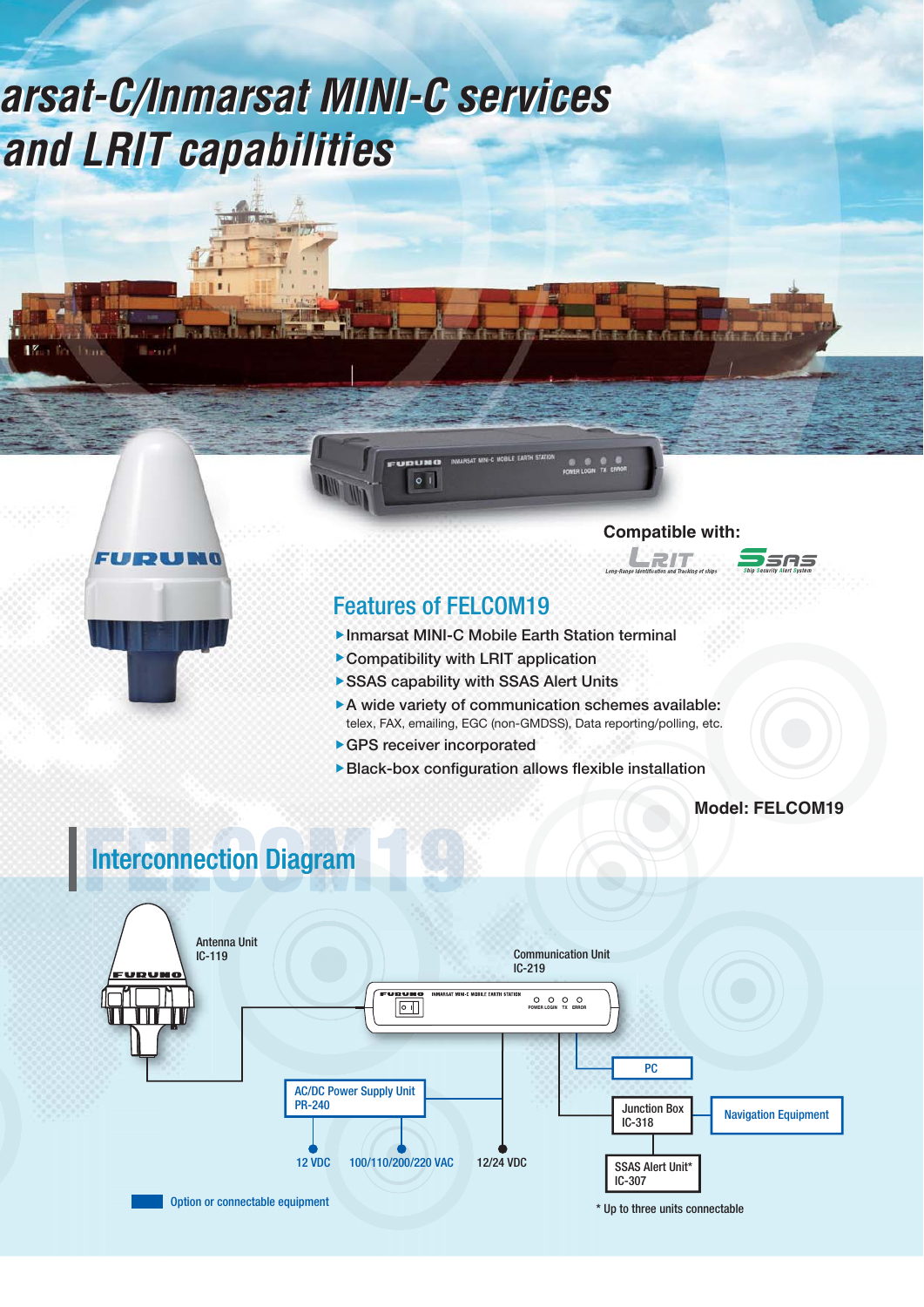# **Proven solutions for Inmarsat-C/Inmarsat MINI-C services Proven solutions for Inmarsat-C/Inmarsat MINI-C services fully incorporated SSAS and LRIT capabilities fully incorporated SSAS and LRIT capabilities**



**Bally** 





## **Ship Security Alert System**

### Features of FELCOM19

UDUN  $|0|1$ 

- ▲Inmarsat MINI-C Mobile Earth Station terminal
- ▶ Compatibility with LRIT application
- ▶ SSAS capability with SSAS Alert Units
- $\triangleright$  A wide variety of communication schemes available: telex, FAX, emailing, EGC (non-GMDSS), Data reporting/polling, etc.
- ▶ GPS receiver incorporated
- $\blacktriangleright$  Black-box configuration allows flexible installation

**Model: FELCOM19**

## nterconnection Diagram